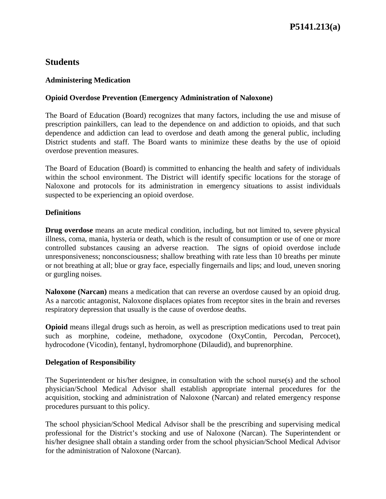# **Students**

#### **Administering Medication**

## **Opioid Overdose Prevention (Emergency Administration of Naloxone)**

The Board of Education (Board) recognizes that many factors, including the use and misuse of prescription painkillers, can lead to the dependence on and addiction to opioids, and that such dependence and addiction can lead to overdose and death among the general public, including District students and staff. The Board wants to minimize these deaths by the use of opioid overdose prevention measures.

The Board of Education (Board) is committed to enhancing the health and safety of individuals within the school environment. The District will identify specific locations for the storage of Naloxone and protocols for its administration in emergency situations to assist individuals suspected to be experiencing an opioid overdose.

#### **Definitions**

**Drug overdose** means an acute medical condition, including, but not limited to, severe physical illness, coma, mania, hysteria or death, which is the result of consumption or use of one or more controlled substances causing an adverse reaction. The signs of opioid overdose include unresponsiveness; nonconsciousness; shallow breathing with rate less than 10 breaths per minute or not breathing at all; blue or gray face, especially fingernails and lips; and loud, uneven snoring or gurgling noises.

**Naloxone (Narcan)** means a medication that can reverse an overdose caused by an opioid drug. As a narcotic antagonist, Naloxone displaces opiates from receptor sites in the brain and reverses respiratory depression that usually is the cause of overdose deaths.

**Opioid** means illegal drugs such as heroin, as well as prescription medications used to treat pain such as morphine, codeine, methadone, oxycodone (OxyContin, Percodan, Percocet), hydrocodone (Vicodin), fentanyl, hydromorphone (Dilaudid), and buprenorphine.

#### **Delegation of Responsibility**

The Superintendent or his/her designee, in consultation with the school nurse(s) and the school physician/School Medical Advisor shall establish appropriate internal procedures for the acquisition, stocking and administration of Naloxone (Narcan) and related emergency response procedures pursuant to this policy.

The school physician/School Medical Advisor shall be the prescribing and supervising medical professional for the District's stocking and use of Naloxone (Narcan). The Superintendent or his/her designee shall obtain a standing order from the school physician/School Medical Advisor for the administration of Naloxone (Narcan).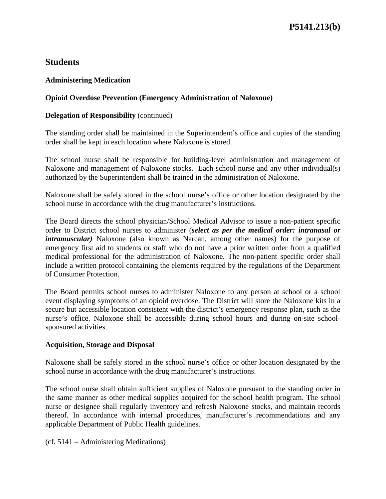# **Students**

# **Administering Medication**

# **Opioid Overdose Prevention (Emergency Administration of Naloxone)**

## **Delegation of Responsibility** (continued)

The standing order shall be maintained in the Superintendent's office and copies of the standing order shall be kept in each location where Naloxone is stored.

The school nurse shall be responsible for building-level administration and management of Naloxone and management of Naloxone stocks. Each school nurse and any other individual(s) authorized by the Superintendent shall be trained in the administration of Naloxone.

Naloxone shall be safely stored in the school nurse's office or other location designated by the school nurse in accordance with the drug manufacturer's instructions.

The Board directs the school physician/School Medical Advisor to issue a non-patient specific order to District school nurses to administer (*select as per the medical order: intranasal or intramuscular*) Naloxone (also known as Narcan, among other names) for the purpose of emergency first aid to students or staff who do not have a prior written order from a qualified medical professional for the administration of Naloxone. The non-patient specific order shall include a written protocol containing the elements required by the regulations of the Department of Consumer Protection.

The Board permits school nurses to administer Naloxone to any person at school or a school event displaying symptoms of an opioid overdose. The District will store the Naloxone kits in a secure but accessible location consistent with the district's emergency response plan, such as the nurse's office. Naloxone shall be accessible during school hours and during on-site schoolsponsored activities.

# **Acquisition, Storage and Disposal**

Naloxone shall be safely stored in the school nurse's office or other location designated by the school nurse in accordance with the drug manufacturer's instructions.

The school nurse shall obtain sufficient supplies of Naloxone pursuant to the standing order in the same manner as other medical supplies acquired for the school health program. The school nurse or designee shall regularly inventory and refresh Naloxone stocks, and maintain records thereof. In accordance with internal procedures, manufacturer's recommendations and any applicable Department of Public Health guidelines.

(cf. 5141 – Administering Medications)